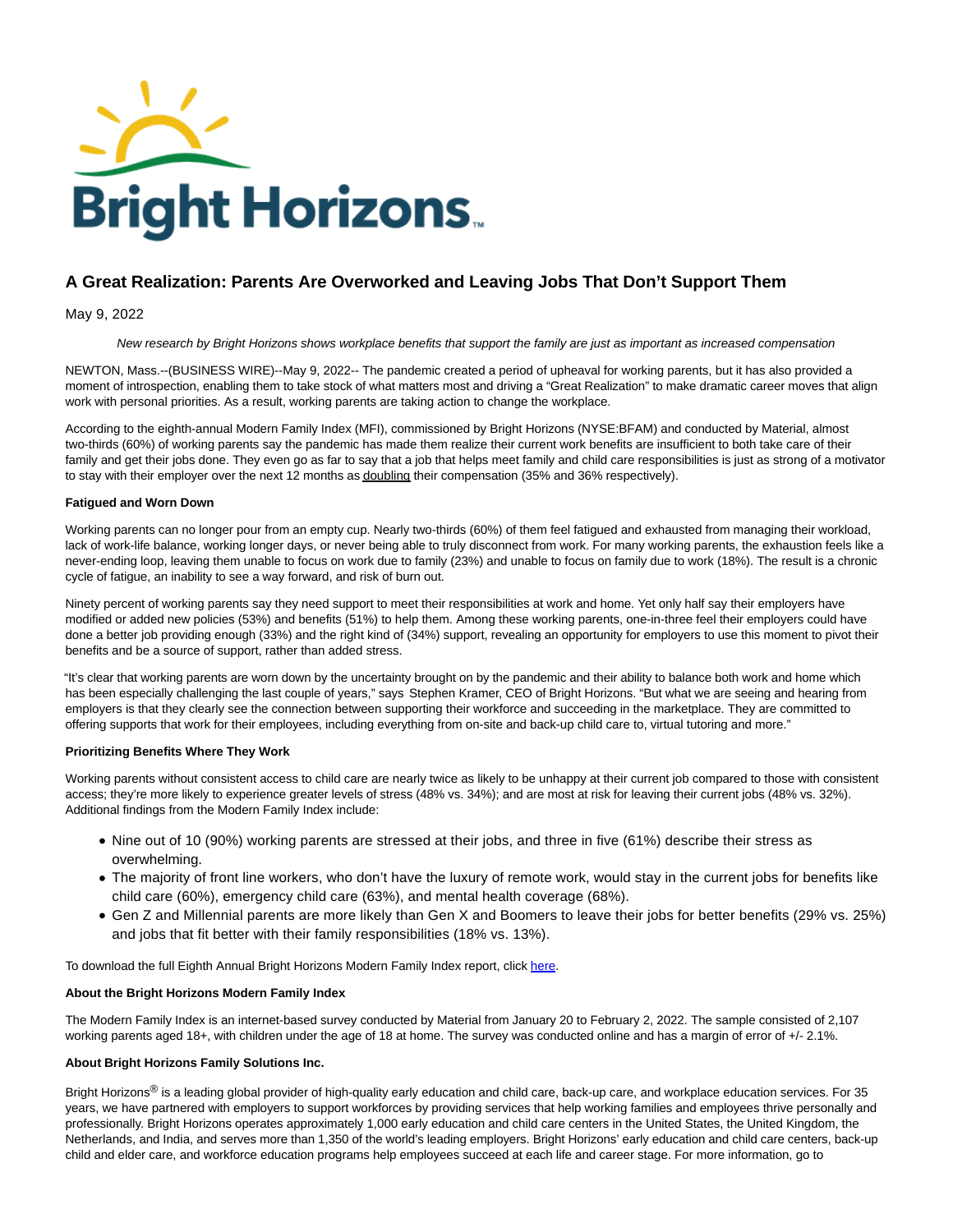

# **A Great Realization: Parents Are Overworked and Leaving Jobs That Don't Support Them**

May 9, 2022

New research by Bright Horizons shows workplace benefits that support the family are just as important as increased compensation

NEWTON, Mass.--(BUSINESS WIRE)--May 9, 2022-- The pandemic created a period of upheaval for working parents, but it has also provided a moment of introspection, enabling them to take stock of what matters most and driving a "Great Realization" to make dramatic career moves that align work with personal priorities. As a result, working parents are taking action to change the workplace.

According to the eighth-annual Modern Family Index (MFI), commissioned by Bright Horizons (NYSE:BFAM) and conducted by Material, almost two-thirds (60%) of working parents say the pandemic has made them realize their current work benefits are insufficient to both take care of their family and get their jobs done. They even go as far to say that a job that helps meet family and child care responsibilities is just as strong of a motivator to stay with their employer over the next 12 months as doubling their compensation (35% and 36% respectively).

### **Fatigued and Worn Down**

Working parents can no longer pour from an empty cup. Nearly two-thirds (60%) of them feel fatigued and exhausted from managing their workload, lack of work-life balance, working longer days, or never being able to truly disconnect from work. For many working parents, the exhaustion feels like a never-ending loop, leaving them unable to focus on work due to family (23%) and unable to focus on family due to work (18%). The result is a chronic cycle of fatigue, an inability to see a way forward, and risk of burn out.

Ninety percent of working parents say they need support to meet their responsibilities at work and home. Yet only half say their employers have modified or added new policies (53%) and benefits (51%) to help them. Among these working parents, one-in-three feel their employers could have done a better job providing enough (33%) and the right kind of (34%) support, revealing an opportunity for employers to use this moment to pivot their benefits and be a source of support, rather than added stress.

"It's clear that working parents are worn down by the uncertainty brought on by the pandemic and their ability to balance both work and home which has been especially challenging the last couple of years," says Stephen Kramer, CEO of Bright Horizons. "But what we are seeing and hearing from employers is that they clearly see the connection between supporting their workforce and succeeding in the marketplace. They are committed to offering supports that work for their employees, including everything from on-site and back-up child care to, virtual tutoring and more."

#### **Prioritizing Benefits Where They Work**

Working parents without consistent access to child care are nearly twice as likely to be unhappy at their current job compared to those with consistent access; they're more likely to experience greater levels of stress (48% vs. 34%); and are most at risk for leaving their current jobs (48% vs. 32%). Additional findings from the Modern Family Index include:

- Nine out of 10 (90%) working parents are stressed at their jobs, and three in five (61%) describe their stress as overwhelming.
- The majority of front line workers, who don't have the luxury of remote work, would stay in the current jobs for benefits like child care (60%), emergency child care (63%), and mental health coverage (68%).
- Gen Z and Millennial parents are more likely than Gen X and Boomers to leave their jobs for better benefits (29% vs. 25%) and jobs that fit better with their family responsibilities (18% vs. 13%).

To download the full Eighth Annual Bright Horizons Modern Family Index report, clic[k here.](https://cts.businesswire.com/ct/CT?id=smartlink&url=https%3A%2F%2Fwww.brighthorizons.com%2F-%2Fmedia%2FBH-New%2FMFI%2FMFI-2022%2FBright-Horizons-MFI-2022.ashx&esheet=52712735&newsitemid=20220509005627&lan=en-US&anchor=here&index=1&md5=e6d7227d65a76e584e7c489707401bac)

#### **About the Bright Horizons Modern Family Index**

The Modern Family Index is an internet-based survey conducted by Material from January 20 to February 2, 2022. The sample consisted of 2,107 working parents aged 18+, with children under the age of 18 at home. The survey was conducted online and has a margin of error of +/- 2.1%.

#### **About Bright Horizons Family Solutions Inc.**

Bright Horizons<sup>®</sup> is a leading global provider of high-quality early education and child care, back-up care, and workplace education services. For 35 years, we have partnered with employers to support workforces by providing services that help working families and employees thrive personally and professionally. Bright Horizons operates approximately 1,000 early education and child care centers in the United States, the United Kingdom, the Netherlands, and India, and serves more than 1,350 of the world's leading employers. Bright Horizons' early education and child care centers, back-up child and elder care, and workforce education programs help employees succeed at each life and career stage. For more information, go to